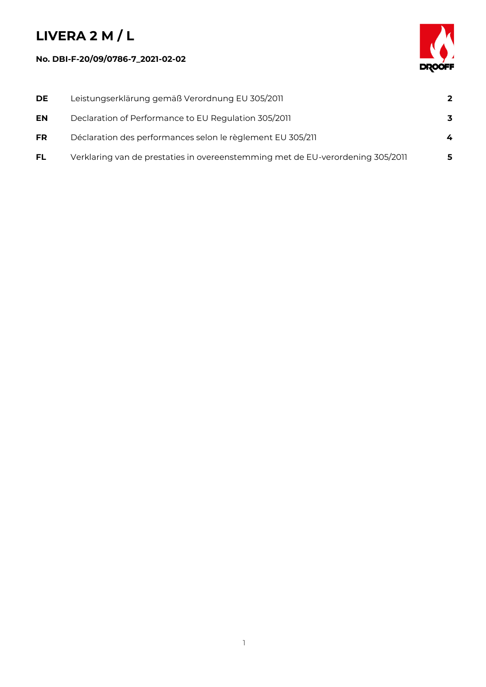## **LIVERA 2 M / L**

## **No. DBI-F-20/09/0786-7\_2021-02-02**



| <b>DE</b> | Leistungserklärung gemäß Verordnung EU 305/2011                                | $\overline{2}$ |
|-----------|--------------------------------------------------------------------------------|----------------|
| EN        | Declaration of Performance to EU Regulation 305/2011                           | 3              |
| <b>FR</b> | Déclaration des performances selon le règlement EU 305/211                     | 4              |
| FL.       | Verklaring van de prestaties in overeenstemming met de EU-verordening 305/2011 | 5              |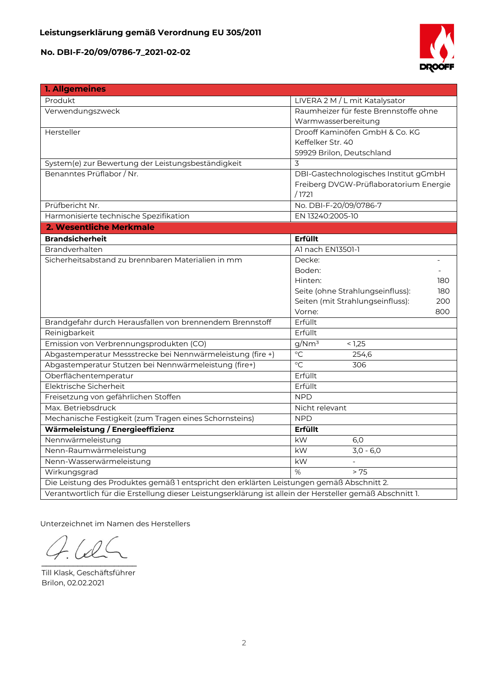**No. DBI-F-20/09/0786-7\_2021-02-02**



| 1. Allgemeines                                                                                           |                                         |  |  |  |
|----------------------------------------------------------------------------------------------------------|-----------------------------------------|--|--|--|
| Produkt                                                                                                  | LIVERA 2 M / L mit Katalysator          |  |  |  |
| Verwendungszweck                                                                                         | Raumheizer für feste Brennstoffe ohne   |  |  |  |
|                                                                                                          | Warmwasserbereitung                     |  |  |  |
| Hersteller                                                                                               | Drooff Kaminöfen GmbH & Co. KG          |  |  |  |
|                                                                                                          | Keffelker Str. 40                       |  |  |  |
|                                                                                                          | 59929 Brilon, Deutschland               |  |  |  |
| System(e) zur Bewertung der Leistungsbeständigkeit                                                       | 3                                       |  |  |  |
| Benanntes Prüflabor / Nr.                                                                                | DBI-Gastechnologisches Institut gGmbH   |  |  |  |
|                                                                                                          | Freiberg DVGW-Prüflaboratorium Energie  |  |  |  |
|                                                                                                          | /1721                                   |  |  |  |
| Prüfbericht Nr.                                                                                          | No. DBI-F-20/09/0786-7                  |  |  |  |
| Harmonisierte technische Spezifikation                                                                   | EN 13240:2005-10                        |  |  |  |
| 2. Wesentliche Merkmale                                                                                  |                                         |  |  |  |
| <b>Brandsicherheit</b>                                                                                   | <b>Erfüllt</b>                          |  |  |  |
| Brandverhalten                                                                                           | Al nach EN13501-1                       |  |  |  |
| Sicherheitsabstand zu brennbaren Materialien in mm                                                       | Decke:                                  |  |  |  |
|                                                                                                          | Boden:                                  |  |  |  |
|                                                                                                          | Hinten:<br>180                          |  |  |  |
|                                                                                                          | Seite (ohne Strahlungseinfluss):<br>180 |  |  |  |
|                                                                                                          | Seiten (mit Strahlungseinfluss):<br>200 |  |  |  |
|                                                                                                          | Vorne:<br>800                           |  |  |  |
| Brandgefahr durch Herausfallen von brennendem Brennstoff                                                 | Erfüllt                                 |  |  |  |
| Reinigbarkeit                                                                                            | Erfüllt                                 |  |  |  |
| Emission von Verbrennungsprodukten (CO)                                                                  | g/Nm <sup>3</sup><br>< 1,25             |  |  |  |
| Abgastemperatur Messstrecke bei Nennwärmeleistung (fire +)                                               | $\overline{C}$<br>254,6                 |  |  |  |
| Abgastemperatur Stutzen bei Nennwärmeleistung (fire+)                                                    | $\overline{C}$<br>306                   |  |  |  |
| Oberflächentemperatur                                                                                    | Erfüllt                                 |  |  |  |
| Elektrische Sicherheit                                                                                   | Erfüllt                                 |  |  |  |
| Freisetzung von gefährlichen Stoffen                                                                     | <b>NPD</b>                              |  |  |  |
| Max. Betriebsdruck                                                                                       | Nicht relevant                          |  |  |  |
| Mechanische Festigkeit (zum Tragen eines Schornsteins)                                                   | <b>NPD</b>                              |  |  |  |
| Wärmeleistung / Energieeffizienz                                                                         | Erfüllt                                 |  |  |  |
| Nennwärmeleistung                                                                                        | kW<br>6,0                               |  |  |  |
| Nenn-Raumwärmeleistung                                                                                   | kW<br>$3,0 - 6,0$                       |  |  |  |
| Nenn-Wasserwärmeleistung                                                                                 | kW                                      |  |  |  |
| Wirkungsgrad                                                                                             | $\%$<br>> 75                            |  |  |  |
| Die Leistung des Produktes gemäß 1 entspricht den erklärten Leistungen gemäß Abschnitt 2.                |                                         |  |  |  |
| Verantwortlich für die Erstellung dieser Leistungserklärung ist allein der Hersteller gemäß Abschnitt 1. |                                         |  |  |  |

Unterzeichnet im Namen des Herstellers

 $\Lambda$  $\overline{\phantom{a}}$ 

Till Klask, Geschäftsführer Brilon, 02.02.2021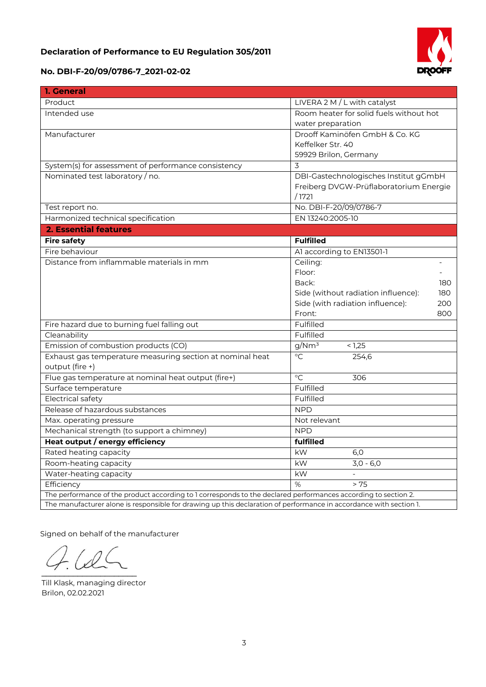## **Declaration of Performance to EU Regulation 305/2011**



## **No. DBI-F-20/09/0786-7\_2021-02-02**

| 1. General                                                                                                         |                                            |  |  |
|--------------------------------------------------------------------------------------------------------------------|--------------------------------------------|--|--|
| Product                                                                                                            | LIVERA 2 M / L with catalyst               |  |  |
| Intended use                                                                                                       | Room heater for solid fuels without hot    |  |  |
|                                                                                                                    | water preparation                          |  |  |
| Manufacturer                                                                                                       | Drooff Kaminöfen GmbH & Co. KG             |  |  |
|                                                                                                                    | Keffelker Str. 40                          |  |  |
|                                                                                                                    | 59929 Brilon, Germany                      |  |  |
| System(s) for assessment of performance consistency                                                                | 3                                          |  |  |
| Nominated test laboratory / no.                                                                                    | DBI-Gastechnologisches Institut gGmbH      |  |  |
|                                                                                                                    | Freiberg DVGW-Prüflaboratorium Energie     |  |  |
|                                                                                                                    | /1721                                      |  |  |
| Test report no.                                                                                                    | No. DBI-F-20/09/0786-7                     |  |  |
| Harmonized technical specification                                                                                 | EN 13240:2005-10                           |  |  |
| <b>2. Essential features</b>                                                                                       |                                            |  |  |
| <b>Fire safety</b>                                                                                                 | <b>Fulfilled</b>                           |  |  |
| Fire behaviour                                                                                                     | Al according to EN13501-1                  |  |  |
| Distance from inflammable materials in mm                                                                          | Ceiling:                                   |  |  |
|                                                                                                                    | Floor:                                     |  |  |
|                                                                                                                    | Back:<br>180                               |  |  |
|                                                                                                                    | Side (without radiation influence):<br>180 |  |  |
|                                                                                                                    | Side (with radiation influence):<br>200    |  |  |
|                                                                                                                    | Front:<br>800                              |  |  |
| Fire hazard due to burning fuel falling out                                                                        | Fulfilled                                  |  |  |
| Cleanability                                                                                                       | Fulfilled                                  |  |  |
| Emission of combustion products (CO)                                                                               | g/Nm <sup>3</sup><br>< 1,25                |  |  |
| Exhaust gas temperature measuring section at nominal heat                                                          | $\overline{C}$<br>254,6                    |  |  |
| output (fire +)                                                                                                    |                                            |  |  |
| Flue gas temperature at nominal heat output (fire+)                                                                | $\overline{C}$<br>306                      |  |  |
| Surface temperature                                                                                                | Fulfilled                                  |  |  |
| <b>Electrical safety</b>                                                                                           | Fulfilled                                  |  |  |
| Release of hazardous substances                                                                                    | <b>NPD</b>                                 |  |  |
| Max. operating pressure                                                                                            | Not relevant                               |  |  |
| Mechanical strength (to support a chimney)                                                                         | <b>NPD</b>                                 |  |  |
| Heat output / energy efficiency                                                                                    | fulfilled                                  |  |  |
| Rated heating capacity                                                                                             | kW<br>6,0                                  |  |  |
| Room-heating capacity                                                                                              | $3,0 - 6,0$<br>kW                          |  |  |
| Water-heating capacity                                                                                             | kW                                         |  |  |
| Efficiency                                                                                                         | %<br>> 75                                  |  |  |
| The performance of the product according to 1 corresponds to the declared performances according to section 2.     |                                            |  |  |
| The manufacturer alone is responsible for drawing up this declaration of performance in accordance with section 1. |                                            |  |  |

Signed on behalf of the manufacturer

 $\mathcal{L}$  and  $\mathcal{L}$  and  $\mathcal{L}$ 

Till Klask, managing director Brilon, 02.02.2021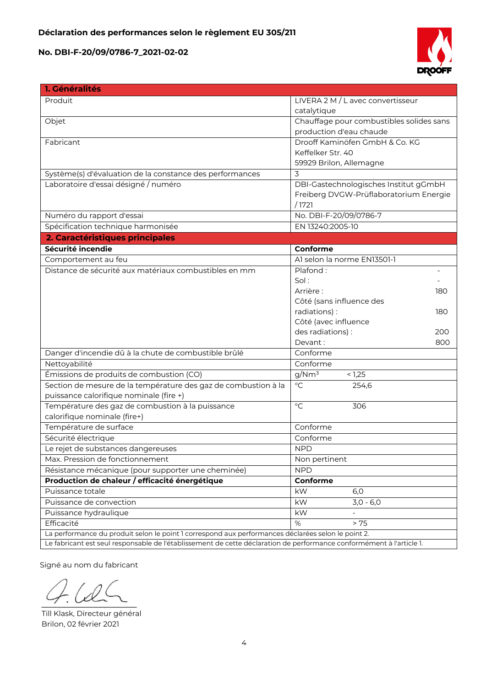**No. DBI-F-20/09/0786-7\_2021-02-02**



| 1. Généralités                                                                                                       |                                          |
|----------------------------------------------------------------------------------------------------------------------|------------------------------------------|
| Produit                                                                                                              | LIVERA 2 M / L avec convertisseur        |
|                                                                                                                      | catalytique                              |
| Objet                                                                                                                | Chauffage pour combustibles solides sans |
|                                                                                                                      | production d'eau chaude                  |
| Fabricant                                                                                                            | Drooff Kaminöfen GmbH & Co. KG           |
|                                                                                                                      | Keffelker Str. 40                        |
|                                                                                                                      | 59929 Brilon, Allemagne                  |
| Système(s) d'évaluation de la constance des performances                                                             | 3                                        |
| Laboratoire d'essai désigné / numéro                                                                                 | DBI-Gastechnologisches Institut gGmbH    |
|                                                                                                                      | Freiberg DVGW-Prüflaboratorium Energie   |
|                                                                                                                      | /1721                                    |
| Numéro du rapport d'essai                                                                                            | No. DBI-F-20/09/0786-7                   |
| Spécification technique harmonisée                                                                                   | EN 13240:2005-10                         |
| 2. Caractéristiques principales                                                                                      |                                          |
| Sécurité incendie                                                                                                    | Conforme                                 |
| Comportement au feu                                                                                                  | Al selon la norme EN13501-1              |
| Distance de sécurité aux matériaux combustibles en mm                                                                | Plafond:                                 |
|                                                                                                                      | Sol:                                     |
|                                                                                                                      | Arrière:<br>180                          |
|                                                                                                                      | Côté (sans influence des                 |
|                                                                                                                      | radiations):<br>180                      |
|                                                                                                                      | Côté (avec influence                     |
|                                                                                                                      | des radiations) :<br>200                 |
|                                                                                                                      | Devant:<br>800                           |
| Danger d'incendie dû à la chute de combustible brûlé                                                                 | Conforme                                 |
| Nettoyabilité                                                                                                        | Conforme                                 |
| Émissions de produits de combustion (CO)                                                                             | g/Nm <sup>3</sup><br>< 1,25              |
| Section de mesure de la température des gaz de combustion à la                                                       | $\overline{C}$<br>254,6                  |
| puissance calorifique nominale (fire +)                                                                              |                                          |
| Température des gaz de combustion à la puissance                                                                     | $\rm ^{\circ}C$<br>306                   |
| calorifique nominale (fire+)                                                                                         |                                          |
| Température de surface                                                                                               | Conforme                                 |
| Sécurité électrique                                                                                                  | Conforme                                 |
| e rejet de substances dangereuses                                                                                    | <b>NPD</b>                               |
| Max. Pression de fonctionnement                                                                                      | Non pertinent                            |
| Résistance mécanique (pour supporter une cheminée)                                                                   | <b>NPD</b>                               |
| Production de chaleur / efficacité énergétique                                                                       | Conforme                                 |
| Puissance totale                                                                                                     | kW<br>6,0                                |
| Puissance de convection                                                                                              | $3,0 - 6,0$<br>kW                        |
| Puissance hydraulique                                                                                                | kW                                       |
| Efficacité                                                                                                           | %<br>> 75                                |
| La performance du produit selon le point 1 correspond aux performances déclarées selon le point 2.                   |                                          |
| Le fabricant est seul responsable de l'établissement de cette déclaration de performance conformément à l'article 1. |                                          |

Signé au nom du fabricant

 $\sim$ 

Till Klask, Directeur général Brilon, 02 février 2021